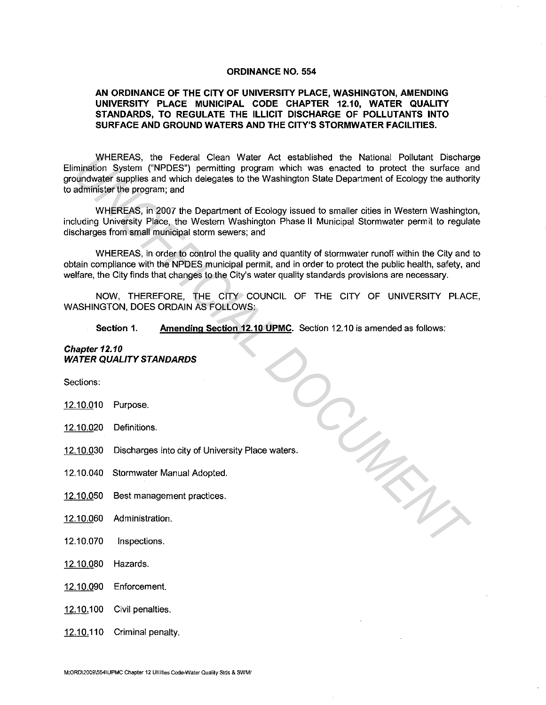#### **ORDINANCE NO. 554**

# **AN ORDINANCE OF THE CITY OF UNIVERSITY PLACE, WASHINGTON, AMENDING UNIVERSITY PLACE MUNICIPAL CODE CHAPTER 12.10, WATER QUALITY STANDARDS, TO REGULATE THE ILLICIT DISCHARGE OF POLLUTANTS INTO SURFACE AND GROUND WATERS AND THE CITY'S STORMWATER FACILITIES.**

WHEREAS, the Federal Clean Water Act established the National Pollutant Discharge Elimination System ("NPDES") permitting program which was enacted to protect the surface and groundwater supplies and which delegates to the Washington State Department of Ecology the authority to administer the program; and

WHEREAS, in 2007 the Department of Ecology issued to smaller cities in Western Washington, including University Place, the Western Washington Phase II Municipal Stormwater permit to regulate discharges from small municipal storm sewers; and

WHEREAS, in order to control the quality and quantity of stormwater runoff within the City and to obtain compliance with the NPDES municipal permit, and in order to protect the public health, safety, and welfare, the City finds that changes to the City's water quality standards provisions are necessary.

NOW, THEREFORE, THE CITY COUNCIL OF THE CITY OF UNIVERSITY PLACE, WASHINGTON, DOES ORDAIN AS FOLLOWS:

**Section 1. Amending Section 12.10 UPMC.** Section 12.10 is amended as follows:

*UNOFFICIAL DOCUMENT*

#### **Chapter 12.10 WATER QUALITY STANDARDS**

Sections:

- 12.10.010 Purpose.
- 12.10.020 Definitions.
- 12.10.030 Discharges into city of University Place waters.
- 12.10.040 Stormwater Manual Adopted.
- 12.10.050 Best management practices.
- 12.10.060 Administration.
- 12.10.070 Inspections.
- 12.10.080 Hazards.
- 12.10.090 Enforcement.
- 12.10.100 Civil penalties.
- 12.10.110 Criminal penalty.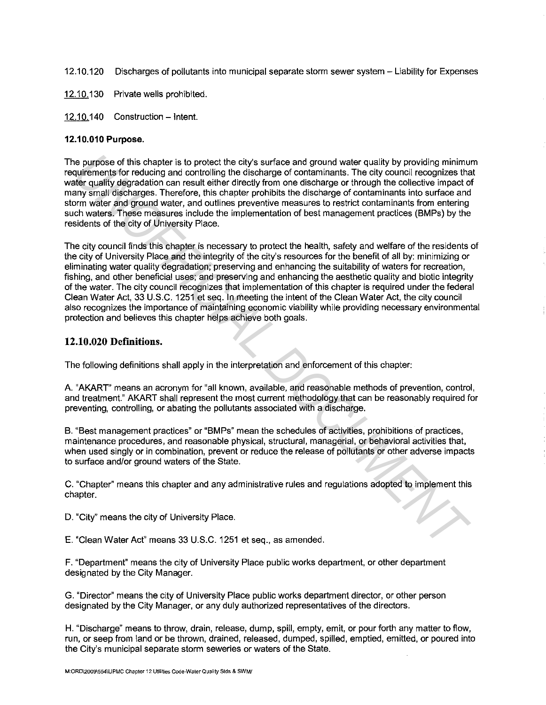- 12.10.120 Discharges of pollutants into municipal separate storm sewer system Liability for Expenses
- 12.10.130 Private wells prohibited.
- 12.10.140 Construction Intent.

## **12.10.010 Purpose.**

The purpose of this chapter is to protect the city's surface and ground water quality by providing minimum requirements for reducing and controlling the discharge of contaminants. The city council recognizes that water quality degradation can result either directly from one discharge or through the collective impact of many small discharges. Therefore, this chapter prohibits the discharge of contaminants into surface and storm water and ground water, and outlines preventive measures to restrict contaminants from entering such waters. These measures include the implementation of best management practices (BMPs) by the residents of the city of University Place.

The city council finds this chapter is necessary to protect the health, safety and welfare of the residents of the city of University Place and the integrity of the city's resources for the benefit of all by: minimizing or eliminating water quality degradation; preserving and enhancing the suitability of waters for recreation, fishing, and other beneficial uses; and preserving and enhancing the aesthetic quality and biotic integrity of the water. The city council recognizes that implementation of this chapter is required under the federal Clean Water Act, 33 U.S.C. 1251 et seq. In meeting the intent of the Clean Water Act, the city council also recognizes the importance of maintaining economic viability while providing necessary environmental protection and believes this chapter helps achieve both goals. re purpose of this chapter is to protect the city's surface and ground water quality by providing minimus<br>surfaments for reducting and controlling the discharge of contaminants. The city countil recognizes the<br>site and inf

# **12.10.020 Definitions.**

The following definitions shall apply in the interpretation and enforcement of this chapter:

A. "AKART" means an acronym for "all known, available, and reasonable methods of prevention, control, and treatment." AKART shall represent the most current methodology that can be reasonably required for preventing, controlling, or abating the pollutants associated with a discharge.

8. "Best management practices" or "BMPs" mean the schedules of activities, prohibitions of practices, maintenance procedures, and reasonable physical, structural, managerial, or behavioral activities that, when used singly or in combination, prevent or reduce the release of pollutants or other adverse impacts to surface and/or ground waters of the State.

C. "Chapter" means this chapter and any administrative rules and regulations adopted to implement this chapter.

D. "City" means the city of University Place.

E. "Clean Water Act" means 33 U.S.C. 1251 et seq., as amended.

F. "Department" means the city of University Place public works department, or other department designated by the City Manager.

G. "Director" means the city of University Place public works department director, or other person designated by the City Manager, or any duly authorized representatives of the directors.

H. "Discharge" means to throw, drain, release, dump, spill, empty, emit, or pour forth any matter to fiow, run, or seep from land or be thrown, drained, released, dumped, spilled, emptied, emitted, or poured into the City's municipal separate storm seweries or waters of the State.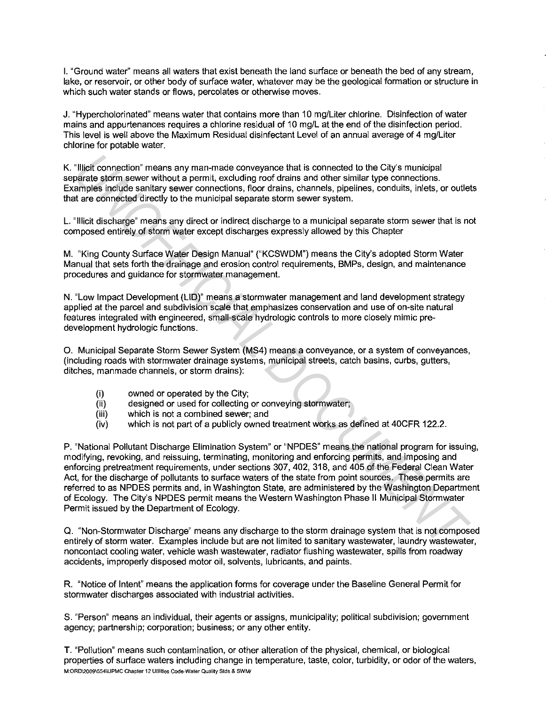I. "Ground water" means all waters that exist beneath the land surface or beneath the bed of any stream, lake, or reservoir, or other body of surface water, whatever may be the geological formation or structure in which such water stands or flows, percolates or otherwise moves.

J. "Hypercholorinated" means water that contains more than 10 mg/Liter chlorine. Disinfection of water mains and appurtenances requires a chlorine residual of 10 mg/Lat the end of the disinfection period. This level is well above the Maximum Residual disinfectant Level of an annual average of 4 mg/Liter chlorine for potable water.

K. "Illicit connection" means any man-made conveyance that is connected to the City's municipal separate storm sewer without a permit, excluding roof drains and other similar type connections. Examples include sanitary sewer connections, floor drains, channels, pipelines, conduits, inlets, or outlets that are connected directly to the municipal separate storm sewer system.

L. "Illicit discharge" means any direct or indirect discharge to a municipal separate storm sewer that is not composed entirely of storm water except discharges expressly allowed by this Chapter

M. "King County Surface Water Design Manual" ("KCSWDM") means the City's adopted Storm Water Manual that sets forth the drainage and erosion control requirements, BMPs, design, and maintenance procedures and guidance for stormwater management.

N. "Low Impact Development (LID)" means a stormwater management and land development strategy applied at the parcel and subdivision scale that emphasizes conservation and use of on-site natural features integrated with engineered, small-scale hydrologic controls to more closely mimic predevelopment hydrologic functions.

0. Municipal Separate Storm Sewer System (MS4) means a conveyance, or a system of conveyances, (including roads with stormwater drainage systems, municipal streets, catch basins, curbs, gutters, ditches, manmade channels, or storm drains):

- (i) owned or operated by the City;<br>(ii) designed or used for collecting
- designed or used for collecting or conveying stormwater;
- (iii) which is not a combined sewer; and
- (iv) which is not part of a publicly owned treatment works as defined at 40CFR 122.2.

P. "National Pollutant Discharge Elimination System" or "NPDES" means the national program for issuing, modifying, revoking, and reissuing, terminating, monitoring and enforcing permits, and imposing and enforcing pretreatment requirements, under sections 307, 402, 318, and 405 of the Federal Clean Water Act, for the discharge of pollutants to surface waters of the state from point sources. These permits are referred to as NPDES permits and, in Washington State, are administered by the Washington Department of Ecology. The City's NPDES permit means the Western Washington Phase II Municipal Stormwater Permit issued by the Department of Ecology. Tillpit connection" means any man-made conveyance that is connected to the City's municipal<br>anare stom severe without a premit, excluding roof drains and other similar type connections.<br>Anarelis minicipal compressions and

Q. "Non-Stormwater Discharge" means any discharge to the storm drainage system that is not composed entirely of storm water. Examples include but are not limited to sanitary wastewater, laundry wastewater, noncontact cooling water, vehicle wash wastewater, radiator flushing wastewater, spills from roadway accidents, improperly disposed motor oil, solvents, lubricants, and paints.

R. "Notice of Intent" means the application forms for coverage under the Baseline General Permit for stormwater discharges associated with industrial activities.

S. "Person" means an individual, their agents or assigns, municipality; political subdivision; government agency; partnership; corporation; business; or any other entity.

T. "Pollution" means such contamination, or other alteration of the physical, chemical, or biological properties of surface waters including change in temperature, taste, color, turbidity, or odor of the waters, **M:ORD\2009\554\UPMC Chapter 12 Utilities Code-Water Quality Stds & SWM/**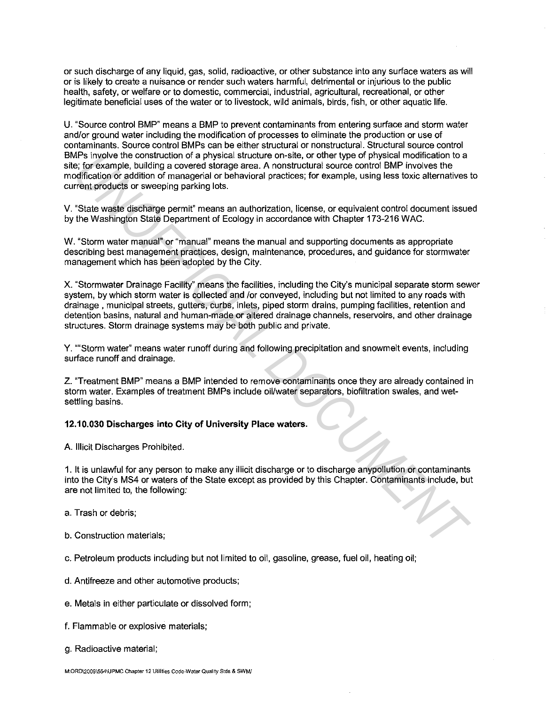or such discharge of any liquid, gas, solid, radioactive, or other substance into any surface waters as will or is likely to create a nuisance or render such waters harmful, detrimental or injurious to the public health, safety, or welfare or to domestic, commercial, industrial, agricultural, recreational, or other legitimate beneficial uses of the water or to livestock, wild animals, birds, fish, or other aquatic life.

U. "Source control BMP" means a BMP to prevent contaminants from entering surface and storm water and/or ground water including the modification of processes to eliminate the production or use of contaminants. Source control BMPs can be either structural or nonstructural. Structural source control BMPs involve the construction of a physical structure on-site, or other type of physical modification to a site; for example, building a covered storage area. A nonstructural source control BMP involves the modification or addition of managerial or behavioral practices; for example, using less toxic alternatives to current products or sweeping parking lots.

V. "State waste discharge permit" means an authorization, license, or equivalent control document issued by the Washington State Department of Ecology in accordance with Chapter 173-216 WAC.

W. "Storm water manual" or "manual" means the manual and supporting documents as appropriate describing best management practices, design, maintenance, procedures, and guidance for stormwater management which has been adopted by the City.

X. "Stormwater Drainage Facility" means the facilities, including the City's municipal separate storm sewer system, by which storm water is collected and /or conveyed, including but not limited to any roads with drainage, municipal streets, gutters, curbs, inlets, piped storm drains, pumping facilities, retention and detention basins, natural and human-made or altered drainage channels, reservoirs, and other drainage structures. Storm drainage systems may be both public and private. *APs* involve the construction of a physical structure o-n-sine, or drift type of physical anotheration is a physical structure o-n-sine of physical anomatom is a physical structure o-sine of constructural source control B

Y. ""Storm water" means water runoff during and following precipitation and snowmelt events, including surface runoff and drainage.

Z. "Treatment BMP" means a BMP intended to remove contaminants once they are already contained in storm water. Examples of treatment BMPs include oil/water separators, biofiltration swales, and wetsettling basins.

# **12.10.030 Discharges into City of University Place waters.**

A. Illicit Discharges Prohibited.

1. It is unlawful for any person to make any illicit discharge or to discharge anypollution or contaminants into the City's MS4 or waters of the State except as provided by this Chapter. Contaminants include, but are not limited to, the following:

a. Trash or debris;

b. Construction materials;

c. Petroleum products including but not limited to oil, gasoline, grease, fuel oil, heating oil;

d. Antifreeze and other automotive products;

e. Metals in either particulate or dissolved form;

f. Flammable or explosive materials;

g. Radioactive material;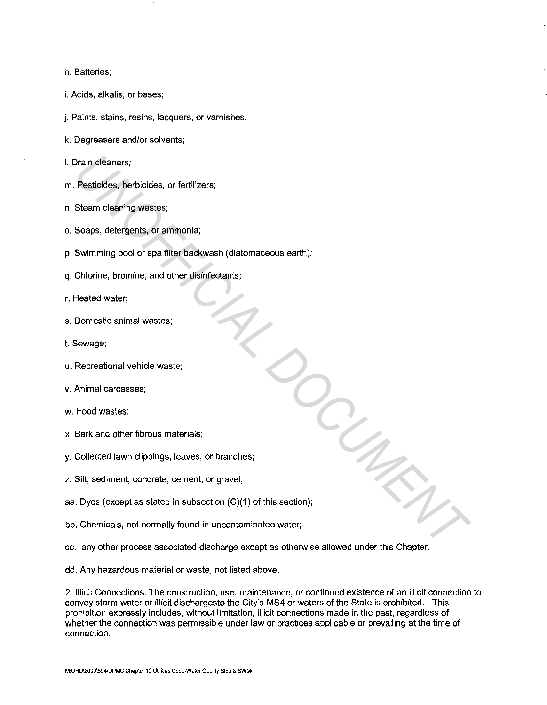#### h. Batteries;

- i. Acids, alkalis, or bases;
- j. Paints, stains, resins, lacquers, or varnishes;
- k. Degreasers and/or solvents;
- I. Drain cleaners;
- m. Pesticides, herbicides, or fertilizers;
- n. Steam cleaning wastes;
- o. Soaps, detergents, or ammonia;
- p. Swimming pool or spa filter backwash (diatomaceous earth);
- q. Chlorine, bromine, and other disinfectants;
- r. Heated water;
- s. Domestic animal wastes;
- t. Sewage;
- u. Recreational vehicle waste;
- v. Animal carcasses;
- w. Food wastes;
- x. Bark and other fibrous materials;
- y. Collected lawn clippings, leaves, or branches;
- z. Silt, sediment, concrete, cement, or gravel;
- aa. Dyes (except as stated in subsection (C)(1) of this section); *UNOFFICIAL DOCUMENT*
- bb. Chemicals, not normally found in uncontaminated water;
- cc. any other process associated discharge except as otherwise allowed under this Chapter.
- dd. Any hazardous material or waste, not listed above.

2. Illicit Connections. The construction, use, maintenance, or continued existence of an illicit connection to convey storm water or illicit dischargesto the City's MS4 or waters of the State is prohibited. This prohibition expressly includes, without limitation, illicit connections made in the past, regardless of whether the connection was permissible under law or practices applicable or prevailing at the time of connection.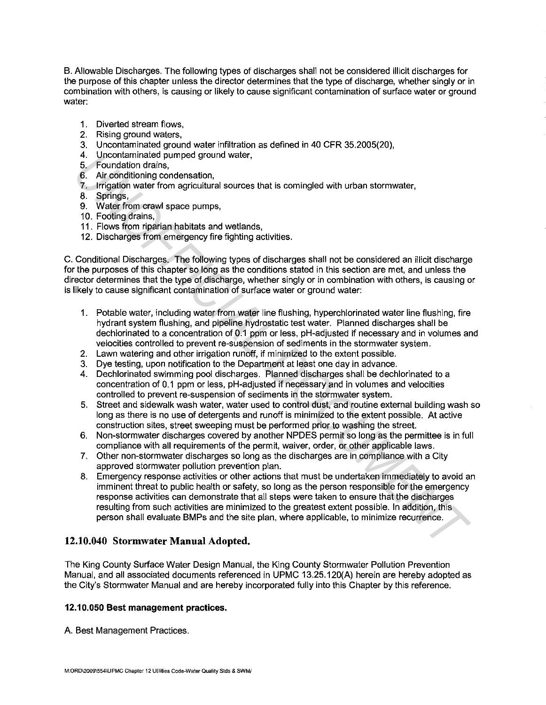B. Allowable Discharges. The following types of discharges shall not be considered illicit discharges for the purpose of this chapter unless the director determines that the type of discharge, whether singly or in combination with others, is causing or likely to cause significant contamination of surface water or ground water:

- 1. Diverted stream flows.
- 2. Rising ground waters.
- 3. Uncontaminated ground water infiltration as defined in 40 CFR 35.2005(20),
- 4. Uncontaminated pumped ground water,
- 5. Foundation drains,
- 6. Air conditioning condensation,
- 7. Irrigation water from agricultural sources that is comingled with urban stormwater,
- 8. Springs,
- 9. Water from crawl space pumps,
- 10. Footing drains,
- 11 . Flows from riparian habitats and wetlands,
- 12. Discharges from emergency fire fighting activities.

C. Conditional Discharges. The following types of discharges shall not be considered an illicit discharge for the purposes of this chapter so long as the conditions stated in this section are met, and unless the director determines that the type of discharge, whether singly or in combination with others, is causing or is likely to cause significant contamination of surface water or ground water:

- 1. Potable water, including water from water line flushing, hyperchlorinated water line flushing, fire hydrant system flushing, and pipeline hydrostatic test water. Planned discharges shall be dechlorinated to a concentration of 0.1 ppm or less, pH-adjusted if necessary and in volumes and velocities controlled to prevent re-suspension of sediments in the stormwater system.
- 2. Lawn watering and other irrigation runoff, if minimized to the extent possible.
- 3. Dye testing, upon notification to the Department at least one day in advance.
- 4. Dechlorinated swimming pool discharges. Planned discharges shall be dechlorinated to a concentration of 0.1 ppm or less, pH-adjusted if necessary and in volumes and velocities controlled to prevent re-suspension of sediments in the stormwater system.
- 5. Street and sidewalk wash water, water used to control dust, and routine external building wash so long as there is no use of detergents and runoff is minimized to the extent possible. At active construction sites, street sweeping must be performed prior to washing the street.
- 6. Non-stormwater discharges covered by another NPDES permit so long as the permittee is in full compliance with all requirements of the permit, waiver, order, or other applicable laws.
- 7. Other non-stormwater discharges so long as the discharges are in compliance with a City approved stormwater pollution prevention plan.
- 8. Emergency response activities or other actions that must be undertaken immediately to avoid an imminent threat to public health or safety, so long as the person responsible for the emergency response activities can demonstrate that all steps were taken to ensure that the discharges resulting from such activities are minimized to the greatest extent possible. In addition, this person shall evaluate BMPs and the site plan, where applicable, to minimize recurrence. 4. Uncontraining dependent of the state is completed by the method of the state and the state and the state and the state and the state is completed with the state is a Syrings.<br>
To Air conditioning condensation,<br>
1. Discr

# **12.10.040 Stormwater Manual Adopted.**

The King County Surface Water Design Manual, the King County Stormwater Pollution Prevention Manual, and all associated documents referenced in UPMC 13.25.120(A) herein are hereby adopted as the City's Stormwater Manual and are hereby incorporated fully into this Chapter by this reference.

## **12.10.050 Best management practices.**

A. Best Management Practices.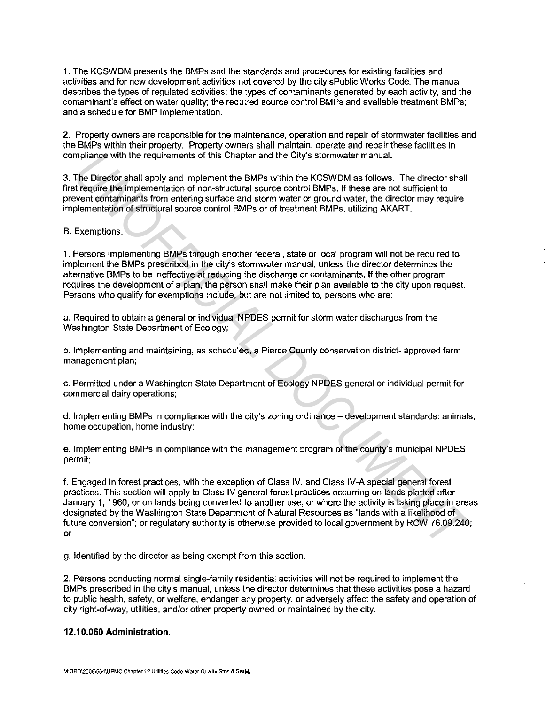1. The KCSWDM presents the BMPs and the standards and procedures for existing facilities and activities and for new development activities not covered by the city'sPublic Works Code. The manual describes the types of regulated activities; the types of contaminants generated by each activity, and the contaminant's effect on water quality; the required source control BMPs and available treatment BMPs; and a schedule for BMP implementation.

2. Property owners are responsible for the maintenance, operation and repair of stormwater facilities and the BMPs within their property. Property owners shall maintain, operate and repair these facilities in compliance with the requirements of this Chapter and the City's stormwater manual.

3. The Director shall apply and implement the BMPs within the KCSWDM as follows. The director shall first require the implementation of non-structural source control BMPs. If these are not sufficient to prevent contaminants from entering surface and storm water or ground water, the director may require implementation of structural source control BMPs or of treatment BMPs, utilizing AKART.

## B. Exemptions.

1. Persons implementing BMPs through another federal, state or local program will not be required to implement the BMPs prescribed in the city's stormwater manual, unless the director determines the alternative BMPs to be ineffective at reducing the discharge or contaminants. If the other program requires the development of a plan, the person shall make their plan available to the city upon request. Persons who qualify for exemptions include, but are not limited to, persons who are:

a. Required to obtain a general or individual NPDES permit for storm water discharges from the Washington State Department of Ecology;

b. Implementing and maintaining, as scheduled, a Pierce County conservation district- approved farm management plan;

c. Permitted under a Washington State Department of Ecology NPDES general or individual permit for commercial dairy operations;

d. Implementing BMPs in compliance with the city's zoning ordinance – development standards: animals, home occupation, home industry;

e. Implementing BMPs in compliance with the management program of the county's municipal NPDES permit;

f. Engaged in forest practices, with the exception of Class IV, and Class IV-A special general forest practices. This section will apply to Class IV general forest practices occurring on lands platted after January 1, 1960, or on lands being converted to another use, or where the activity is taking place in areas designated by the Washington State Department of Natural Resources as "lands with a likelihood of future conversion"; or regulatory authority is otherwise provided to local government by RCW 76.09.240; or mpliance with the requirements of this Chapter and the City's stormwater manual.<br>The Director's shall apply and implement the BMPs within the KCSWDM as follows. The director shall<br>the pice of the first propy and implementa

g. Identified by the director as being exempt from this section.

2. Persons conducting normal single-family residential activities will not be required to implement the BMPs prescribed in the city's manual, unless the director determines that these activities pose a hazard to public health, safety, or welfare, endanger any property, or adversely affect the safety and operation of city right-of-way, utilities, and/or other property owned or maintained by the city.

## **12.10.060 Administration.**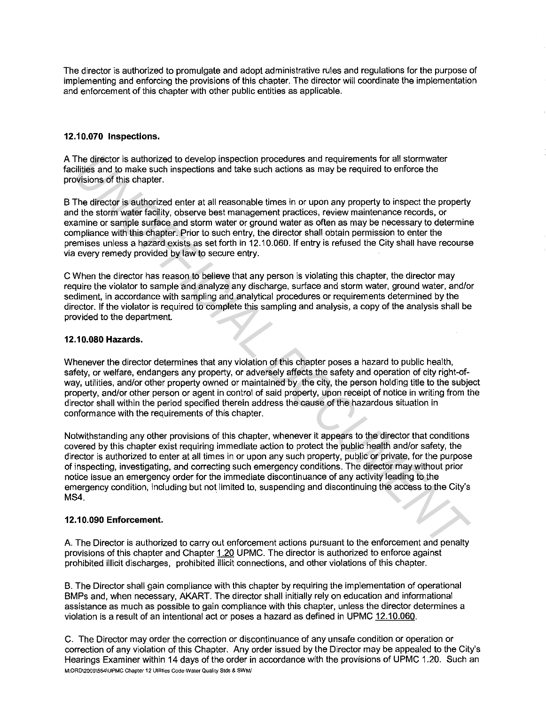The director is authorized to promulgate and adopt administrative rules and regulations for the purpose of implementing and enforcing the provisions of this chapter. The director will coordinate the implementation and enforcement of this chapter with other public entities as applicable.

# **12.10.070 Inspections.**

A The director is authorized to develop inspection procedures and requirements for all stormwater facilities and to make such inspections and take such actions as may be required to enforce the provisions of this chapter.

B The director is authorized enter at all reasonable times in or upon any property to inspect the property and the storm water facility, observe best management practices, review maintenance records, or examine or sample surface and storm water or ground water as often as may be necessary to determine compliance with this chapter. Prior to such entry, the director shall obtain permission to enter the premises unless a hazard exists as set forth in 12.10.060. If entry is refused the City shall have recourse via every remedy provided by law to secure entry.

C When the director has reason to believe that any person is violating this chapter, the director may require the violator to sample and analyze any discharge, surface and storm water, ground water, and/or sediment, in accordance with sampling and analytical procedures or requirements determined by the director. If the violator is required to complete this sampling and analysis, a copy of the analysis shall be provided to the department.

## **12.10.080 Hazards.**

Whenever the director determines that any violation of this chapter poses a hazard to public health, safety, or welfare, endangers any property, or adversely affects the safety and operation of city right-ofway, utilities, and/or other property owned or maintained by the city, the person holding title to the subject property, and/or other person or agent in control of said property, upon receipt of notice in writing from the director shall within the period specified therein address the cause of the hazardous situation in conformance with the requirements of this chapter.

Notwithstanding any other provisions of this chapter, whenever it appears to the director that conditions covered by this chapter exist requiring immediate action to protect the public health and/or safety, the director is authorized to enter at all times in or upon any such property, public or private, for the purpose of inspecting, investigating, and correcting such emergency conditions. The director may without prior notice issue an emergency order for the immediate discontinuance of any activity leading to the emergency condition, including but not limited to, suspending and discontinuing the access to the City's MS4. The director is authorized to develop inspection procedures and requirements for all stormwater<br>illiges and to make such inspection is and take such as any be requirements for all stormwater<br>whisps of this chapter.<br>The dir

# **12.10.090 Enforcement.**

A. The Director is authorized to carry out enforcement actions pursuant to the enforcement and penalty provisions of this chapter and Chapter 1.20 UPMC. The director is authorized to enforce against prohibited illicit discharges, prohibited illicit connections, and other violations of this chapter.

B. The Director shall gain compliance with this chapter by requiring the implementation of operational BMPs and, when necessary, AKART. The director shall initially rely on education and informational assistance as much as possible to gain compliance with this chapter, unless the director determines a violation is a result of an intentional act or poses a hazard as defined in UPMC 12.10.060.

C. The Director may order the correction or discontinuance of any unsafe condition or operation or correction of any violation of this Chapter. Any order issued by the Director may be appealed to the City's Hearings Examiner within 14 days of the order in accordance with the provisions of UPMC 1.20. Such an **M:ORD\2009\554\UPMC Chapter 12 Utilities Code-Water Quality Stds & SWM/**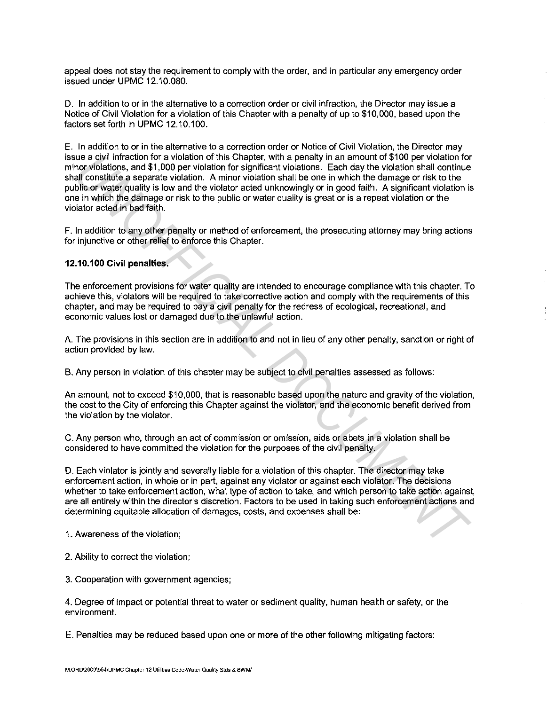appeal does not stay the requirement to comply with the order, and in particular any emergency order issued under UPMC 12.10.080.

D. In addition to or in the alternative to a correction order or civil infraction, the Director may issue a Notice of Civil Violation for a violation of this Chapter with a penalty of up to \$10,000, based upon the factors set forth in UPMC 12.10.100.

E. In addition to or in the alternative to a correction order or Notice of Civil Violation, the Director may issue a civil infraction for a violation of this Chapter, with a penalty in an amount of \$100 per violation for minor violations, and \$1,000 per violation for significant violations. Each day the violation shall continue shall constitute a separate violation. A minor violation shall be one in which the damage or risk to the public or water quality is low and the violator acted unknowingly or in good faith. A significant violation is one in which the damage or risk to the public or water quality is great or is a repeat violation or the violator acted in bad faith. tue a civil infraction for a violation of this Chapter, with a penalty in an amount of \$100 per violation for significant violations. Each day the violation feat llomotion for avidents and strip of the Chapter of the Chap

F. In addition to any other penalty or method of enforcement, the prosecuting attorney may bring actions for injunctive or other relief to enforce this Chapter.

# **12.10.100 Civil penalties.**

The enforcement provisions for water quality are intended to encourage compliance with this chapter. To achieve this, violators will be required to take corrective action and comply with the requirements of this chapter, and may be required to pay a civil penalty for the redress of ecological, recreational, and economic values lost or damaged due to the unlawful action.

A. The provisions in this section are in addition to and not in lieu of any other penalty, sanction or right of action provided by law.

B. Any person in violation of this chapter may be subject to civil penalties assessed as follows:

An amount, not to exceed \$10,000, that is reasonable based upon the nature and gravity of the violation, the cost to the City of enforcing this Chapter against the violator, and the economic benefit derived from the violation by the violator.

C. Any person who, through an act of commission or omission, aids or abets in a violation shall be considered to have committed the violation for the purposes of the civil penalty.

D. Each violator is jointly and severally liable for a violation of this chapter. The director may take enforcement action, in whole or in part, against any violator or against each violator. The decisions whether to take enforcement action, what type of action to take, and which person to take action against, are all entirely within the director's discretion. Factors to be used in taking such enforcement actions and determining equitable allocation of damages, costs, and expenses shall be:

1. Awareness of the violation;

2. Ability to correct the violation;

3. Cooperation with government agencies;

4. Degree of impact or potential threat to water or sediment quality, human health or safety, or the environment.

E. Penalties may be reduced based upon one or more of the other following mitigating factors: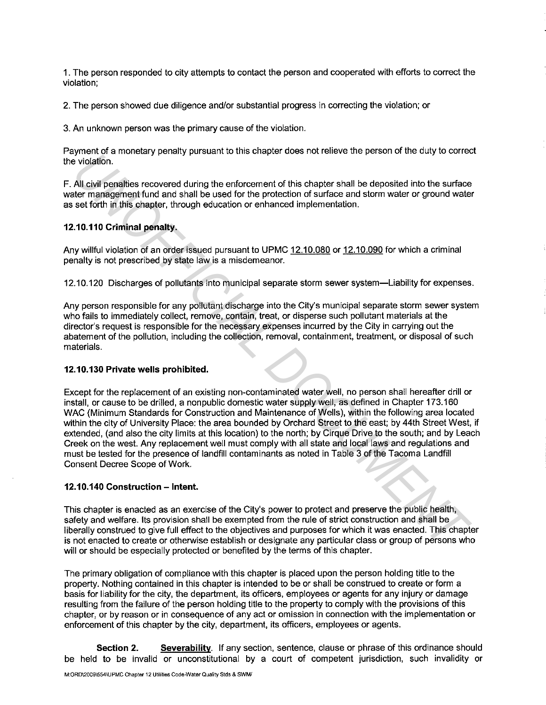1. The person responded to city attempts to contact the person and cooperated with efforts to correct the violation;

2. The person showed due diligence and/or substantial progress in correcting the violation; or

3. An unknown person was the primary cause of the violation.

Payment of a monetary penalty pursuant to this chapter does not relieve the person of the duty to correct the violation.

F. All civil penalties recovered during the enforcement of this chapter shall be deposited into the surface water management fund and shall be used for the protection of surface and storm water or ground water as set forth in this chapter, through education or enhanced implementation.

#### **12.10.110 Criminal penalty.**

Any willful violation of an order issued pursuant to UPMC 12.10.080 or 12.10.090 for which a criminal penalty is not prescribed by state law is a misdemeanor.

12.10.120 Discharges of pollutants into municipal separate storm sewer system-Liability for expenses.

Any person responsible for any pollutant discharge into the City's municipal separate storm sewer system who fails to immediately collect, remove, contain, treat, or disperse such pollutant materials at the director's request is responsible for the necessary expenses incurred by the City in carrying out the abatement of the pollution, including the collection, removal, containment, treatment, or disposal of such materials.

#### **12.10.130 Private wells prohibited.**

Except for the replacement of an existing non-contaminated water well, no person shall hereafter drill or install, or cause to be drilled, a nonpublic domestic water supply well, as defined in Chapter 173.160 WAC (Minimum Standards for Construction and Maintenance of Wells), within the following area located within the city of University Place: the area bounded by Orchard Street to the east; by 44th Street West, if extended, (and also the city limits at this location) to the north; by Cirque Drive to the south; and by Leach Creek on the west. Any replacement well must comply with all state and local laws and regulations and must be tested for the presence of landfill contaminants as noted in Table 3 of the Tacoma Landfill Consent Decree Scope of Work. given the massing perilary paralar to this draptic cocositot runive are posted on the day of once<br>All civil peralties recovered during the enforcement of this chapter shall be deposited into the surface<br>at All civil peralt

#### **12.10.140 Construction- Intent.**

This chapter is enacted as an exercise of the City's power to protect and preserve the public health, safety and welfare. Its provision shall be exempted from the rule of strict construction and shall be liberally construed to give full effect to the objectives and purposes for which it was enacted. This chapter is not enacted to create or otherwise establish or designate any particular class or group of persons who will or should be especially protected or benefited by the terms of this chapter.

The primary obligation of compliance with this chapter is placed upon the person holding title to the property. Nothing contained in this chapter is intended to be or shall be construed to create or form a basis for liability for the city, the department, its officers, employees or agents for any injury or damage resulting from the failure of the person holding title to the property to comply with the provisions of this chapter, or by reason or in consequence of any act or omission in connection with the implementation or enforcement of this chapter by the city, department, its officers, employees or agents.

**Section 2.** Severability. If any section, sentence, clause or phrase of this ordinance should be held to be invalid or unconstitutional by a court of competent jurisdiction, such invalidity or